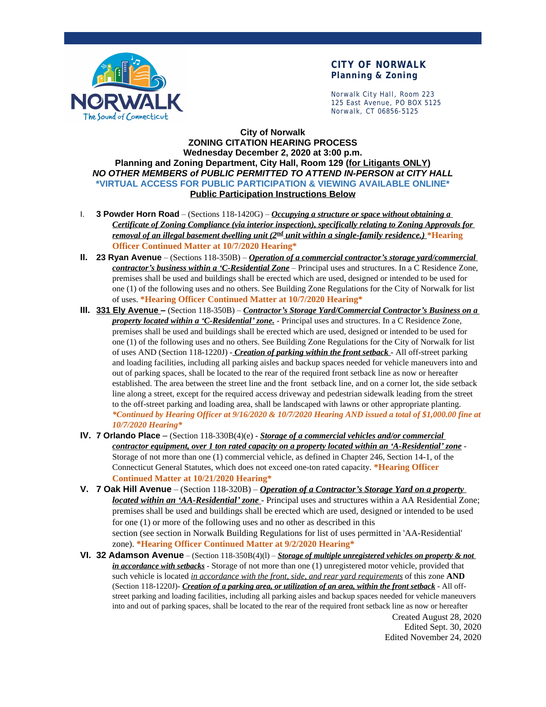

### **CITY OF NORWALK Planning & Zoning**

Norwalk City Hall, Room 223 125 East Avenue, PO BOX 5125 Norwalk, CT 06856-5125

### **City of Norwalk ZONING CITATION HEARING PROCESS Wednesday December 2, 2020 at 3:00 p.m. Planning and Zoning Department, City Hall, Room 129 (for Litigants ONLY)** *NO OTHER MEMBERS of PUBLIC PERMITTED TO ATTEND IN-PERSON at CITY HALL* **\*VIRTUAL ACCESS FOR PUBLIC PARTICIPATION & VIEWING AVAILABLE ONLINE\* Public Participation Instructions Below**

- I. **3 Powder Horn Road** (Sections 118-1420G) *Occupying a structure or space without obtaining a Certificate of Zoning Compliance (via interior inspection), specifically relating to Zoning Approvals for removal of an illegal basement dwelling unit (2 nd unit within a single-family residence.)* **\*Hearing Officer Continued Matter at 10/7/2020 Hearing\***
- **II. 23 Ryan Avenue** (Sections 118-350B) *Operation of a commercial contractor's storage yard/commercial contractor's business within a 'C-Residential Zone* – Principal uses and structures. In a C Residence Zone, premises shall be used and buildings shall be erected which are used, designed or intended to be used for one (1) of the following uses and no others. See Building Zone Regulations for the City of Norwalk for list of uses. **\*Hearing Officer Continued Matter at 10/7/2020 Hearing\***
- **III. 331 Ely Avenue –** (Section 118-350B) *Contractor's Storage Yard/Commercial Contractor's Business on a property located within a 'C-Residential' zone.* - Principal uses and structures. In a C Residence Zone, premises shall be used and buildings shall be erected which are used, designed or intended to be used for one (1) of the following uses and no others. See Building Zone Regulations for the City of Norwalk for list of uses AND (Section 118-1220J) - *Creation of parking within the front setback* - All off-street parking and loading facilities, including all parking aisles and backup spaces needed for vehicle maneuvers into and out of parking spaces, shall be located to the rear of the required front setback line as now or hereafter established. The area between the street line and the front setback line, and on a corner lot, the side setback line along a street, except for the required access driveway and pedestrian sidewalk leading from the street to the off-street parking and loading area, shall be landscaped with lawns or other appropriate planting. *\*Continued by Hearing Officer at 9/16/2020 & 10/7/2020 Hearing AND issued a total of \$1,000.00 fine at 10/7/2020 Hearing\**
- **IV. 7 Orlando Place**  (Section 118-330B(4)(e) *Storage of a commercial vehicles and/or commercial contractor equipment, over 1 ton rated capacity on a property located within an 'A-Residential' zone* -Storage of not more than one (1) commercial vehicle, as defined in Chapter 246, Section 14-1, of the Connecticut General Statutes, which does not exceed one-ton rated capacity. **\*Hearing Officer Continued Matter at 10/21/2020 Hearing\***
- **V. 7 Oak Hill Avenue** (Section 118-320B) *Operation of a Contractor's Storage Yard on a property located within an 'AA-Residential' zone* - Principal uses and structures within a AA Residential Zone; premises shall be used and buildings shall be erected which are used, designed or intended to be used for one (1) or more of the following uses and no other as described in this section (see section in Norwalk Building Regulations for list of uses permitted in 'AA-Residential' zone). **\*Hearing Officer Continued Matter at 9/2/2020 Hearing\***
- **VI. 32 Adamson Avenue** (Section 118-350B(4)(l) *Storage of multiple unregistered vehicles on property & not in accordance with setbacks* - Storage of not more than one (1) unregistered motor vehicle, provided that such vehicle is located *in accordance with the front, side, and rear yard requirements* of this zone **AND** (Section 118-1220J)- *Creation of a parking area, or utilization of an area, within the front setback* - All offstreet parking and loading facilities, including all parking aisles and backup spaces needed for vehicle maneuvers into and out of parking spaces, shall be located to the rear of the required front setback line as now or hereafter

Created August 28, 2020 Edited Sept. 30, 2020 Edited November 24, 2020